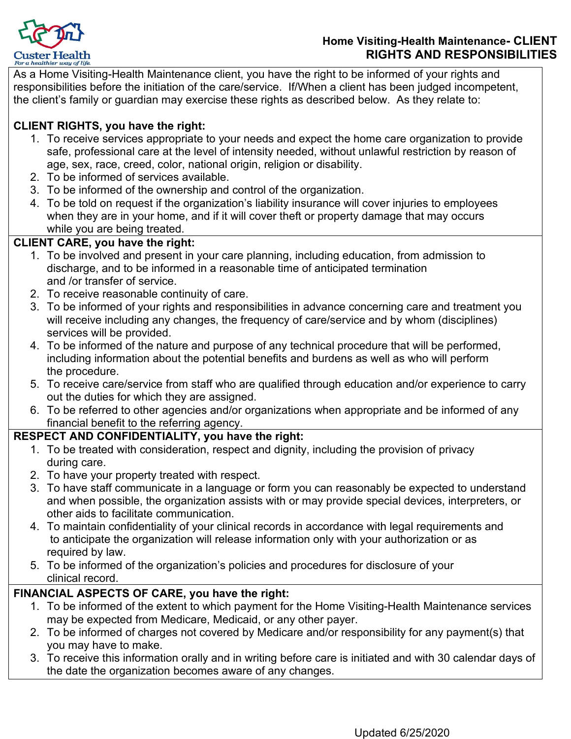

As a Home Visiting-Health Maintenance client, you have the right to be informed of your rights and responsibilities before the initiation of the care/service. If/When a client has been judged incompetent, the client's family or guardian may exercise these rights as described below. As they relate to:

# **CLIENT RIGHTS, you have the right:**

- 1. To receive services appropriate to your needs and expect the home care organization to provide safe, professional care at the level of intensity needed, without unlawful restriction by reason of age, sex, race, creed, color, national origin, religion or disability.
- 2. To be informed of services available.
- 3. To be informed of the ownership and control of the organization.
- 4. To be told on request if the organization's liability insurance will cover injuries to employees when they are in your home, and if it will cover theft or property damage that may occurs while you are being treated.

### **CLIENT CARE, you have the right:**

- 1. To be involved and present in your care planning, including education, from admission to discharge, and to be informed in a reasonable time of anticipated termination and /or transfer of service.
- 2. To receive reasonable continuity of care.
- 3. To be informed of your rights and responsibilities in advance concerning care and treatment you will receive including any changes, the frequency of care/service and by whom (disciplines) services will be provided.
- 4. To be informed of the nature and purpose of any technical procedure that will be performed, including information about the potential benefits and burdens as well as who will perform the procedure.
- 5. To receive care/service from staff who are qualified through education and/or experience to carry out the duties for which they are assigned.
- 6. To be referred to other agencies and/or organizations when appropriate and be informed of any financial benefit to the referring agency.

# **RESPECT AND CONFIDENTIALITY, you have the right:**

- 1. To be treated with consideration, respect and dignity, including the provision of privacy during care.
- 2. To have your property treated with respect.
- 3. To have staff communicate in a language or form you can reasonably be expected to understand and when possible, the organization assists with or may provide special devices, interpreters, or other aids to facilitate communication.
- 4. To maintain confidentiality of your clinical records in accordance with legal requirements and to anticipate the organization will release information only with your authorization or as required by law.
- 5. To be informed of the organization's policies and procedures for disclosure of your clinical record.

### **FINANCIAL ASPECTS OF CARE, you have the right:**

- 1. To be informed of the extent to which payment for the Home Visiting-Health Maintenance services may be expected from Medicare, Medicaid, or any other payer.
- 2. To be informed of charges not covered by Medicare and/or responsibility for any payment(s) that you may have to make.
- 3. To receive this information orally and in writing before care is initiated and with 30 calendar days of the date the organization becomes aware of any changes.